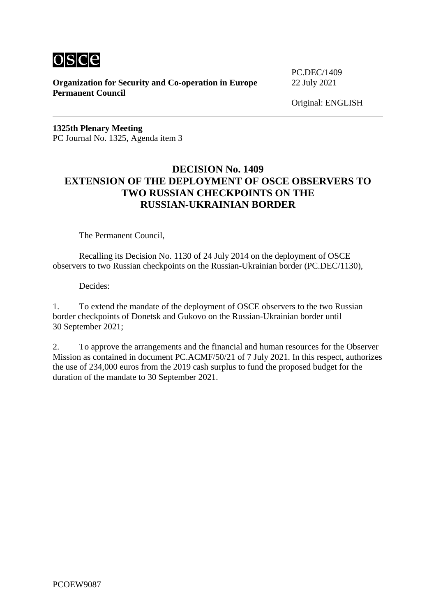

**Organization for Security and Co-operation in Europe** 22 July 2021 **Permanent Council**

PC.DEC/1409

Original: ENGLISH

**1325th Plenary Meeting** PC Journal No. 1325, Agenda item 3

#### **DECISION No. 1409 EXTENSION OF THE DEPLOYMENT OF OSCE OBSERVERS TO TWO RUSSIAN CHECKPOINTS ON THE RUSSIAN-UKRAINIAN BORDER**

The Permanent Council,

Recalling its Decision No. 1130 of 24 July 2014 on the deployment of OSCE observers to two Russian checkpoints on the Russian-Ukrainian border (PC.DEC/1130),

Decides:

1. To extend the mandate of the deployment of OSCE observers to the two Russian border checkpoints of Donetsk and Gukovo on the Russian-Ukrainian border until 30 September 2021;

2. To approve the arrangements and the financial and human resources for the Observer Mission as contained in document PC.ACMF/50/21 of 7 July 2021. In this respect, authorizes the use of 234,000 euros from the 2019 cash surplus to fund the proposed budget for the duration of the mandate to 30 September 2021.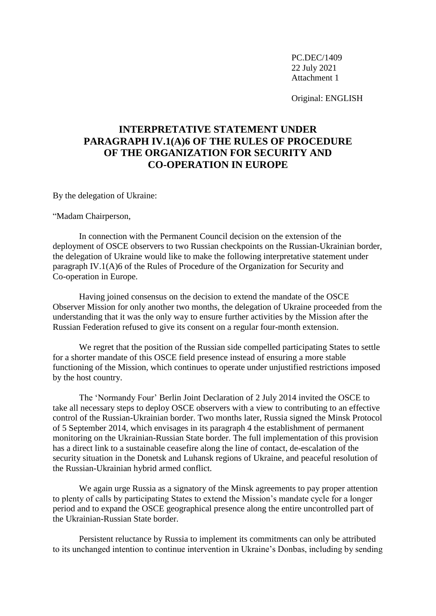Original: ENGLISH

# **INTERPRETATIVE STATEMENT UNDER PARAGRAPH IV.1(A)6 OF THE RULES OF PROCEDURE OF THE ORGANIZATION FOR SECURITY AND CO-OPERATION IN EUROPE**

By the delegation of Ukraine:

"Madam Chairperson,

In connection with the Permanent Council decision on the extension of the deployment of OSCE observers to two Russian checkpoints on the Russian-Ukrainian border, the delegation of Ukraine would like to make the following interpretative statement under paragraph IV.1(A)6 of the Rules of Procedure of the Organization for Security and Co-operation in Europe.

Having joined consensus on the decision to extend the mandate of the OSCE Observer Mission for only another two months, the delegation of Ukraine proceeded from the understanding that it was the only way to ensure further activities by the Mission after the Russian Federation refused to give its consent on a regular four-month extension.

We regret that the position of the Russian side compelled participating States to settle for a shorter mandate of this OSCE field presence instead of ensuring a more stable functioning of the Mission, which continues to operate under unjustified restrictions imposed by the host country.

The 'Normandy Four' Berlin Joint Declaration of 2 July 2014 invited the OSCE to take all necessary steps to deploy OSCE observers with a view to contributing to an effective control of the Russian-Ukrainian border. Two months later, Russia signed the Minsk Protocol of 5 September 2014, which envisages in its paragraph 4 the establishment of permanent monitoring on the Ukrainian-Russian State border. The full implementation of this provision has a direct link to a sustainable ceasefire along the line of contact, de-escalation of the security situation in the Donetsk and Luhansk regions of Ukraine, and peaceful resolution of the Russian-Ukrainian hybrid armed conflict.

We again urge Russia as a signatory of the Minsk agreements to pay proper attention to plenty of calls by participating States to extend the Mission's mandate cycle for a longer period and to expand the OSCE geographical presence along the entire uncontrolled part of the Ukrainian-Russian State border.

Persistent reluctance by Russia to implement its commitments can only be attributed to its unchanged intention to continue intervention in Ukraine's Donbas, including by sending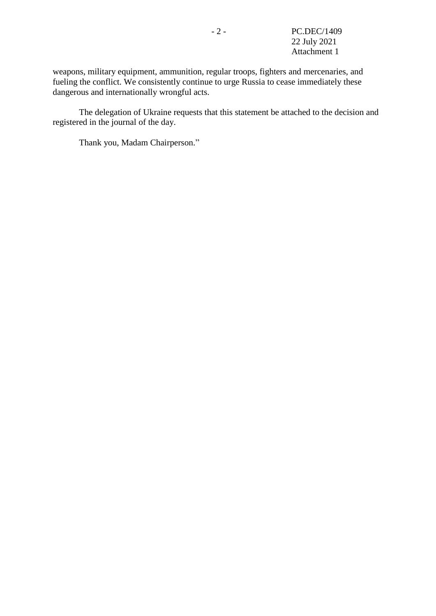weapons, military equipment, ammunition, regular troops, fighters and mercenaries, and fueling the conflict. We consistently continue to urge Russia to cease immediately these dangerous and internationally wrongful acts.

The delegation of Ukraine requests that this statement be attached to the decision and registered in the journal of the day.

Thank you, Madam Chairperson."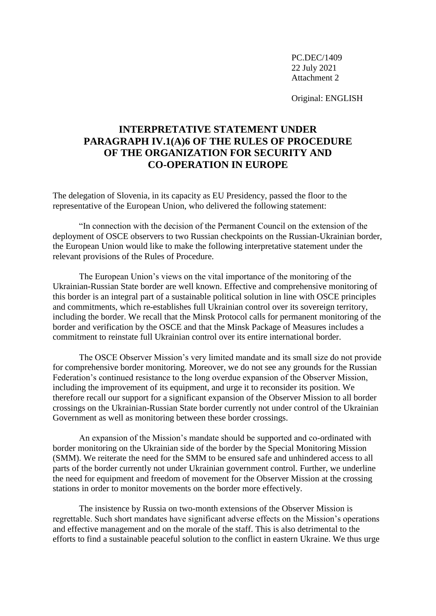Original: ENGLISH

# **INTERPRETATIVE STATEMENT UNDER PARAGRAPH IV.1(A)6 OF THE RULES OF PROCEDURE OF THE ORGANIZATION FOR SECURITY AND CO-OPERATION IN EUROPE**

The delegation of Slovenia, in its capacity as EU Presidency, passed the floor to the representative of the European Union, who delivered the following statement:

"In connection with the decision of the Permanent Council on the extension of the deployment of OSCE observers to two Russian checkpoints on the Russian-Ukrainian border, the European Union would like to make the following interpretative statement under the relevant provisions of the Rules of Procedure.

The European Union's views on the vital importance of the monitoring of the Ukrainian-Russian State border are well known. Effective and comprehensive monitoring of this border is an integral part of a sustainable political solution in line with OSCE principles and commitments, which re-establishes full Ukrainian control over its sovereign territory, including the border. We recall that the Minsk Protocol calls for permanent monitoring of the border and verification by the OSCE and that the Minsk Package of Measures includes a commitment to reinstate full Ukrainian control over its entire international border.

The OSCE Observer Mission's very limited mandate and its small size do not provide for comprehensive border monitoring. Moreover, we do not see any grounds for the Russian Federation's continued resistance to the long overdue expansion of the Observer Mission, including the improvement of its equipment, and urge it to reconsider its position. We therefore recall our support for a significant expansion of the Observer Mission to all border crossings on the Ukrainian-Russian State border currently not under control of the Ukrainian Government as well as monitoring between these border crossings.

An expansion of the Mission's mandate should be supported and co-ordinated with border monitoring on the Ukrainian side of the border by the Special Monitoring Mission (SMM). We reiterate the need for the SMM to be ensured safe and unhindered access to all parts of the border currently not under Ukrainian government control. Further, we underline the need for equipment and freedom of movement for the Observer Mission at the crossing stations in order to monitor movements on the border more effectively.

The insistence by Russia on two-month extensions of the Observer Mission is regrettable. Such short mandates have significant adverse effects on the Mission's operations and effective management and on the morale of the staff. This is also detrimental to the efforts to find a sustainable peaceful solution to the conflict in eastern Ukraine. We thus urge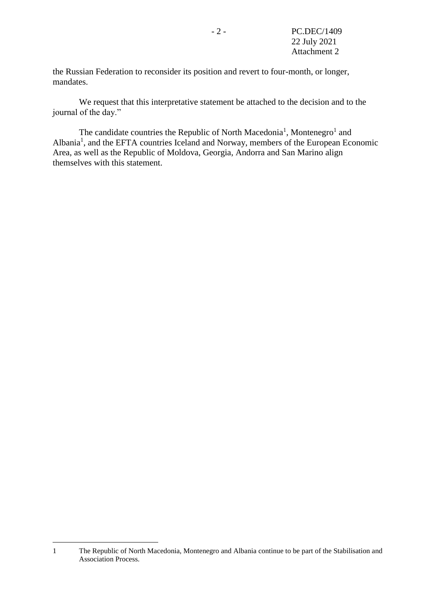the Russian Federation to reconsider its position and revert to four-month, or longer, mandates.

We request that this interpretative statement be attached to the decision and to the journal of the day."

<span id="page-4-0"></span>The candidate countries the Republic of North Macedonia<sup>[1](#page-4-0)</sup>, Montenegro<sup>1</sup> and Albania<sup>[1](#page-4-0)</sup>, and the EFTA countries Iceland and Norway, members of the European Economic Area, as well as the Republic of Moldova, Georgia, Andorra and San Marino align themselves with this statement.

1

<sup>1</sup> The Republic of North Macedonia, Montenegro and Albania continue to be part of the Stabilisation and Association Process.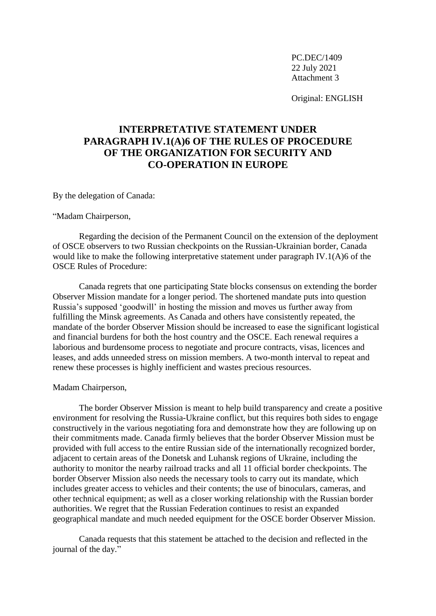Original: ENGLISH

# **INTERPRETATIVE STATEMENT UNDER PARAGRAPH IV.1(A)6 OF THE RULES OF PROCEDURE OF THE ORGANIZATION FOR SECURITY AND CO-OPERATION IN EUROPE**

By the delegation of Canada:

"Madam Chairperson,

Regarding the decision of the Permanent Council on the extension of the deployment of OSCE observers to two Russian checkpoints on the Russian-Ukrainian border, Canada would like to make the following interpretative statement under paragraph IV.1(A)6 of the OSCE Rules of Procedure:

Canada regrets that one participating State blocks consensus on extending the border Observer Mission mandate for a longer period. The shortened mandate puts into question Russia's supposed 'goodwill' in hosting the mission and moves us further away from fulfilling the Minsk agreements. As Canada and others have consistently repeated, the mandate of the border Observer Mission should be increased to ease the significant logistical and financial burdens for both the host country and the OSCE. Each renewal requires a laborious and burdensome process to negotiate and procure contracts, visas, licences and leases, and adds unneeded stress on mission members. A two-month interval to repeat and renew these processes is highly inefficient and wastes precious resources.

Madam Chairperson,

The border Observer Mission is meant to help build transparency and create a positive environment for resolving the Russia-Ukraine conflict, but this requires both sides to engage constructively in the various negotiating fora and demonstrate how they are following up on their commitments made. Canada firmly believes that the border Observer Mission must be provided with full access to the entire Russian side of the internationally recognized border, adjacent to certain areas of the Donetsk and Luhansk regions of Ukraine, including the authority to monitor the nearby railroad tracks and all 11 official border checkpoints. The border Observer Mission also needs the necessary tools to carry out its mandate, which includes greater access to vehicles and their contents; the use of binoculars, cameras, and other technical equipment; as well as a closer working relationship with the Russian border authorities. We regret that the Russian Federation continues to resist an expanded geographical mandate and much needed equipment for the OSCE border Observer Mission.

Canada requests that this statement be attached to the decision and reflected in the journal of the day."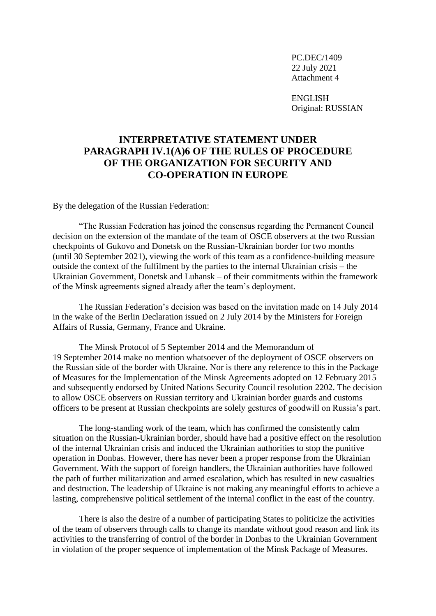ENGLISH Original: RUSSIAN

## **INTERPRETATIVE STATEMENT UNDER PARAGRAPH IV.1(A)6 OF THE RULES OF PROCEDURE OF THE ORGANIZATION FOR SECURITY AND CO-OPERATION IN EUROPE**

By the delegation of the Russian Federation:

"The Russian Federation has joined the consensus regarding the Permanent Council decision on the extension of the mandate of the team of OSCE observers at the two Russian checkpoints of Gukovo and Donetsk on the Russian-Ukrainian border for two months (until 30 September 2021), viewing the work of this team as a confidence-building measure outside the context of the fulfilment by the parties to the internal Ukrainian crisis – the Ukrainian Government, Donetsk and Luhansk – of their commitments within the framework of the Minsk agreements signed already after the team's deployment.

The Russian Federation's decision was based on the invitation made on 14 July 2014 in the wake of the Berlin Declaration issued on 2 July 2014 by the Ministers for Foreign Affairs of Russia, Germany, France and Ukraine.

The Minsk Protocol of 5 September 2014 and the Memorandum of 19 September 2014 make no mention whatsoever of the deployment of OSCE observers on the Russian side of the border with Ukraine. Nor is there any reference to this in the Package of Measures for the Implementation of the Minsk Agreements adopted on 12 February 2015 and subsequently endorsed by United Nations Security Council resolution 2202. The decision to allow OSCE observers on Russian territory and Ukrainian border guards and customs officers to be present at Russian checkpoints are solely gestures of goodwill on Russia's part.

The long-standing work of the team, which has confirmed the consistently calm situation on the Russian-Ukrainian border, should have had a positive effect on the resolution of the internal Ukrainian crisis and induced the Ukrainian authorities to stop the punitive operation in Donbas. However, there has never been a proper response from the Ukrainian Government. With the support of foreign handlers, the Ukrainian authorities have followed the path of further militarization and armed escalation, which has resulted in new casualties and destruction. The leadership of Ukraine is not making any meaningful efforts to achieve a lasting, comprehensive political settlement of the internal conflict in the east of the country.

There is also the desire of a number of participating States to politicize the activities of the team of observers through calls to change its mandate without good reason and link its activities to the transferring of control of the border in Donbas to the Ukrainian Government in violation of the proper sequence of implementation of the Minsk Package of Measures.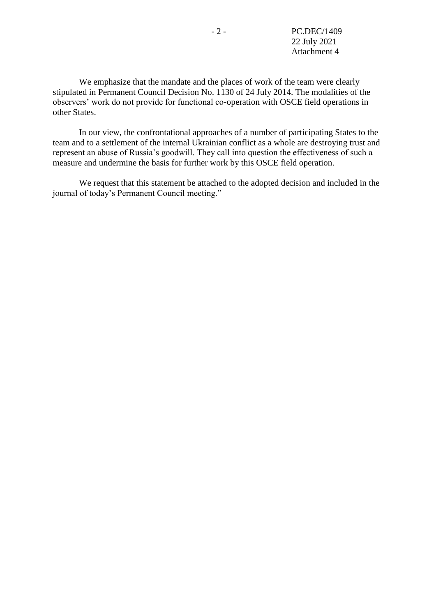We emphasize that the mandate and the places of work of the team were clearly stipulated in Permanent Council Decision No. 1130 of 24 July 2014. The modalities of the observers' work do not provide for functional co-operation with OSCE field operations in other States.

In our view, the confrontational approaches of a number of participating States to the team and to a settlement of the internal Ukrainian conflict as a whole are destroying trust and represent an abuse of Russia's goodwill. They call into question the effectiveness of such a measure and undermine the basis for further work by this OSCE field operation.

We request that this statement be attached to the adopted decision and included in the journal of today's Permanent Council meeting."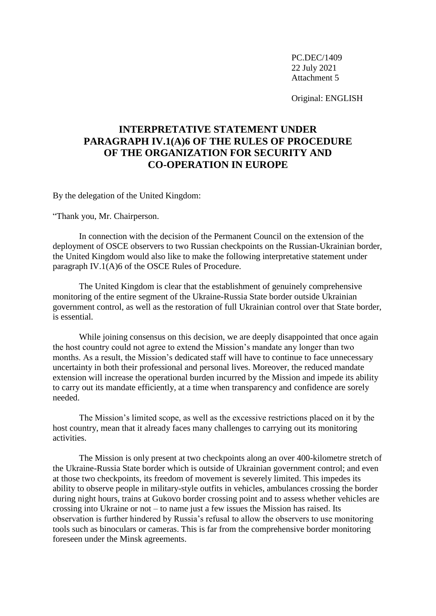Original: ENGLISH

# **INTERPRETATIVE STATEMENT UNDER PARAGRAPH IV.1(A)6 OF THE RULES OF PROCEDURE OF THE ORGANIZATION FOR SECURITY AND CO-OPERATION IN EUROPE**

By the delegation of the United Kingdom:

"Thank you, Mr. Chairperson.

In connection with the decision of the Permanent Council on the extension of the deployment of OSCE observers to two Russian checkpoints on the Russian-Ukrainian border, the United Kingdom would also like to make the following interpretative statement under paragraph IV.1(A)6 of the OSCE Rules of Procedure.

The United Kingdom is clear that the establishment of genuinely comprehensive monitoring of the entire segment of the Ukraine-Russia State border outside Ukrainian government control, as well as the restoration of full Ukrainian control over that State border, is essential.

While joining consensus on this decision, we are deeply disappointed that once again the host country could not agree to extend the Mission's mandate any longer than two months. As a result, the Mission's dedicated staff will have to continue to face unnecessary uncertainty in both their professional and personal lives. Moreover, the reduced mandate extension will increase the operational burden incurred by the Mission and impede its ability to carry out its mandate efficiently, at a time when transparency and confidence are sorely needed.

The Mission's limited scope, as well as the excessive restrictions placed on it by the host country, mean that it already faces many challenges to carrying out its monitoring activities.

The Mission is only present at two checkpoints along an over 400-kilometre stretch of the Ukraine-Russia State border which is outside of Ukrainian government control; and even at those two checkpoints, its freedom of movement is severely limited. This impedes its ability to observe people in military-style outfits in vehicles, ambulances crossing the border during night hours, trains at Gukovo border crossing point and to assess whether vehicles are crossing into Ukraine or not – to name just a few issues the Mission has raised. Its observation is further hindered by Russia's refusal to allow the observers to use monitoring tools such as binoculars or cameras. This is far from the comprehensive border monitoring foreseen under the Minsk agreements.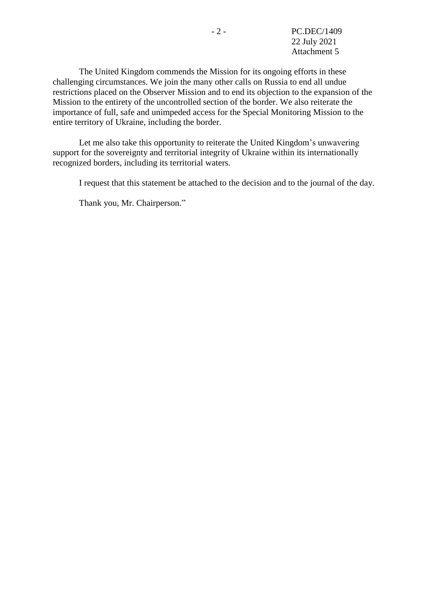The United Kingdom commends the Mission for its ongoing efforts in these challenging circumstances. We join the many other calls on Russia to end all undue restrictions placed on the Observer Mission and to end its objection to the expansion of the Mission to the entirety of the uncontrolled section of the border. We also reiterate the importance of full, safe and unimpeded access for the Special Monitoring Mission to the entire territory of Ukraine, including the border.

Let me also take this opportunity to reiterate the United Kingdom's unwavering support for the sovereignty and territorial integrity of Ukraine within its internationally recognized borders, including its territorial waters.

I request that this statement be attached to the decision and to the journal of the day.

Thank you, Mr. Chairperson."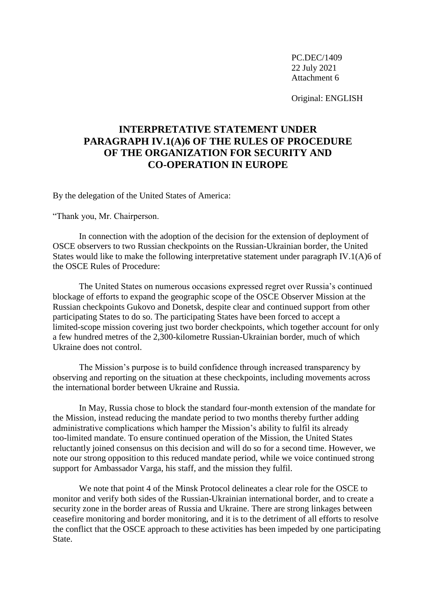Original: ENGLISH

## **INTERPRETATIVE STATEMENT UNDER PARAGRAPH IV.1(A)6 OF THE RULES OF PROCEDURE OF THE ORGANIZATION FOR SECURITY AND CO-OPERATION IN EUROPE**

By the delegation of the United States of America:

"Thank you, Mr. Chairperson.

In connection with the adoption of the decision for the extension of deployment of OSCE observers to two Russian checkpoints on the Russian-Ukrainian border, the United States would like to make the following interpretative statement under paragraph IV.1(A)6 of the OSCE Rules of Procedure:

The United States on numerous occasions expressed regret over Russia's continued blockage of efforts to expand the geographic scope of the OSCE Observer Mission at the Russian checkpoints Gukovo and Donetsk, despite clear and continued support from other participating States to do so. The participating States have been forced to accept a limited-scope mission covering just two border checkpoints, which together account for only a few hundred metres of the 2,300-kilometre Russian-Ukrainian border, much of which Ukraine does not control.

The Mission's purpose is to build confidence through increased transparency by observing and reporting on the situation at these checkpoints, including movements across the international border between Ukraine and Russia.

In May, Russia chose to block the standard four-month extension of the mandate for the Mission, instead reducing the mandate period to two months thereby further adding administrative complications which hamper the Mission's ability to fulfil its already too-limited mandate. To ensure continued operation of the Mission, the United States reluctantly joined consensus on this decision and will do so for a second time. However, we note our strong opposition to this reduced mandate period, while we voice continued strong support for Ambassador Varga, his staff, and the mission they fulfil.

We note that point 4 of the Minsk Protocol delineates a clear role for the OSCE to monitor and verify both sides of the Russian-Ukrainian international border, and to create a security zone in the border areas of Russia and Ukraine. There are strong linkages between ceasefire monitoring and border monitoring, and it is to the detriment of all efforts to resolve the conflict that the OSCE approach to these activities has been impeded by one participating State.